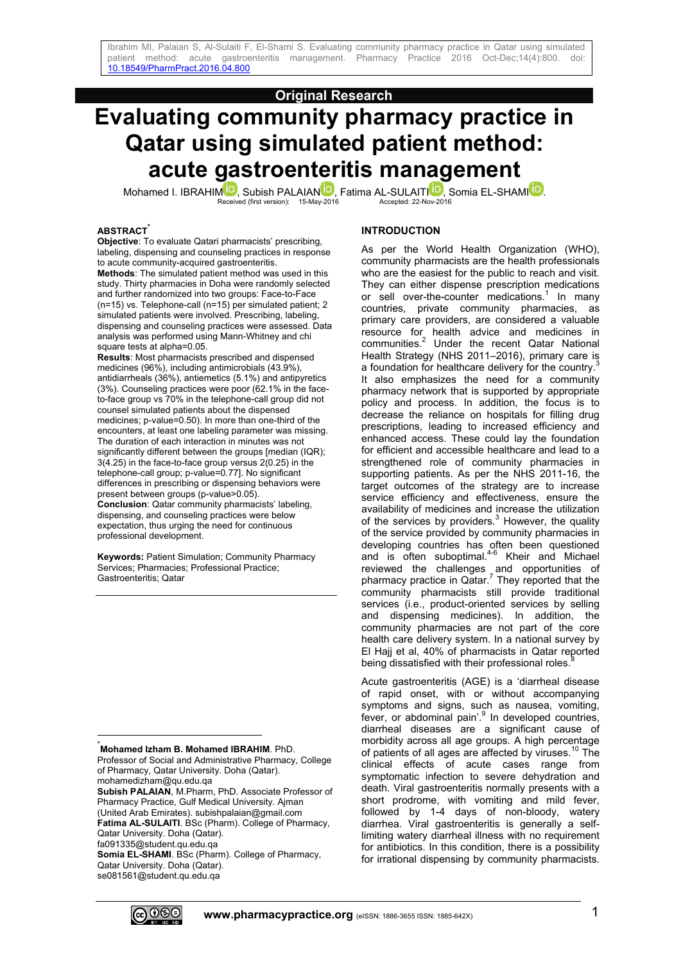## **Original Research**

# **Evaluating community pharmacy practice in Qatar using simulated patient method: acute gastroenteritis management**

Mohamed I. IBRAHIMU[,](http://orcid.org/0000-0002-4305-9614) Subish PALAIANU, Fatima AL-SULAITIU, Somia EL-SHAMIUU[.](http://orcid.org/0000-0001-5941-6762)<br>Received (first version): 15-May-2016 Accepted: 22-Nov-2016

#### **ABSTRACT\***

**Objective**: To evaluate Qatari pharmacists' prescribing, labeling, dispensing and counseling practices in response to acute community-acquired gastroenteritis.

**Methods**: The simulated patient method was used in this study. Thirty pharmacies in Doha were randomly selected and further randomized into two groups: Face-to-Face (n=15) vs. Telephone-call (n=15) per simulated patient; 2 simulated patients were involved. Prescribing, labeling, dispensing and counseling practices were assessed. Data analysis was performed using Mann-Whitney and chi square tests at alpha=0.05.

**Results**: Most pharmacists prescribed and dispensed medicines (96%), including antimicrobials (43.9%), antidiarrheals (36%), antiemetics (5.1%) and antipyretics (3%). Counseling practices were poor (62.1% in the faceto-face group vs 70% in the telephone-call group did not counsel simulated patients about the dispensed medicines; p-value=0.50). In more than one-third of the encounters, at least one labeling parameter was missing. The duration of each interaction in minutes was not significantly different between the groups [median (IQR); 3(4.25) in the face-to-face group versus 2(0.25) in the telephone-call group; p-value=0.77]. No significant differences in prescribing or dispensing behaviors were present between groups (p-value>0.05). **Conclusion**: Qatar community pharmacists' labeling, dispensing, and counseling practices were below expectation, thus urging the need for continuous professional development.

**Keywords:** Patient Simulation; Community Pharmacy Services; Pharmacies; Professional Practice; Gastroenteritis; Qatar

#### \***Mohamed Izham B. Mohamed IBRAHIM**. PhD.

Professor of Social and Administrative Pharmacy, College of Pharmacy, Qatar University. Doha (Qatar).

mohamedizham@qu.edu.qa **Subish PALAIAN**, M.Pharm, PhD. Associate Professor of Pharmacy Practice, Gulf Medical University. Ajman (United Arab Emirates). subishpalaian@gmail.com **Fatima AL-SULAITI**. BSc (Pharm). College of Pharmacy, Qatar University. Doha (Qatar).

fa091335@student.qu.edu.qa

 $\frac{1}{2}$ 

**Somia EL-SHAMI**. BSc (Pharm). College of Pharmacy, Qatar University. Doha (Qatar). se081561@student.qu.edu.qa

#### **INTRODUCTION**

As per the World Health Organization (WHO), community pharmacists are the health professionals who are the easiest for the public to reach and visit. They can either dispense prescription medications or sell over-the-counter medications.<sup>1</sup> In many countries, private community pharmacies, as primary care providers, are considered a valuable resource for health advice and medicines in communities.<sup>2</sup> Under the recent Qatar National Health Strategy (NHS 2011–2016), primary care is a foundation for healthcare delivery for the country.<sup>3</sup> It also emphasizes the need for a community pharmacy network that is supported by appropriate policy and process. In addition, the focus is to decrease the reliance on hospitals for filling drug prescriptions, leading to increased efficiency and enhanced access. These could lay the foundation for efficient and accessible healthcare and lead to a strengthened role of community pharmacies in supporting patients. As per the NHS 2011-16, the target outcomes of the strategy are to increase service efficiency and effectiveness, ensure the availability of medicines and increase the utilization of the services by providers. $3$  However, the quality of the service provided by community pharmacies in developing countries has often been questioned and is often suboptimal.<sup>4-6</sup> Kheir and Michael reviewed the challenges and opportunities of pharmacy practice in Qatar.<sup>7</sup> They reported that the community pharmacists still provide traditional services (i.e., product-oriented services by selling and dispensing medicines). In addition, the community pharmacies are not part of the core health care delivery system. In a national survey by El Hajj et al, 40% of pharmacists in Qatar reported being dissatisfied with their professional roles.

Acute gastroenteritis (AGE) is a 'diarrheal disease of rapid onset, with or without accompanying symptoms and signs, such as nausea, vomiting, fever, or abdominal pain'.<sup>9</sup> In developed countries, diarrheal diseases are a significant cause of morbidity across all age groups. A high percentage of patients of all ages are affected by viruses.<sup>10</sup> The clinical effects of acute cases range from symptomatic infection to severe dehydration and death. Viral gastroenteritis normally presents with a short prodrome, with vomiting and mild fever, followed by 1-4 days of non-bloody, watery diarrhea. Viral gastroenteritis is generally a selflimiting watery diarrheal illness with no requirement for antibiotics. In this condition, there is a possibility for irrational dispensing by community pharmacists.

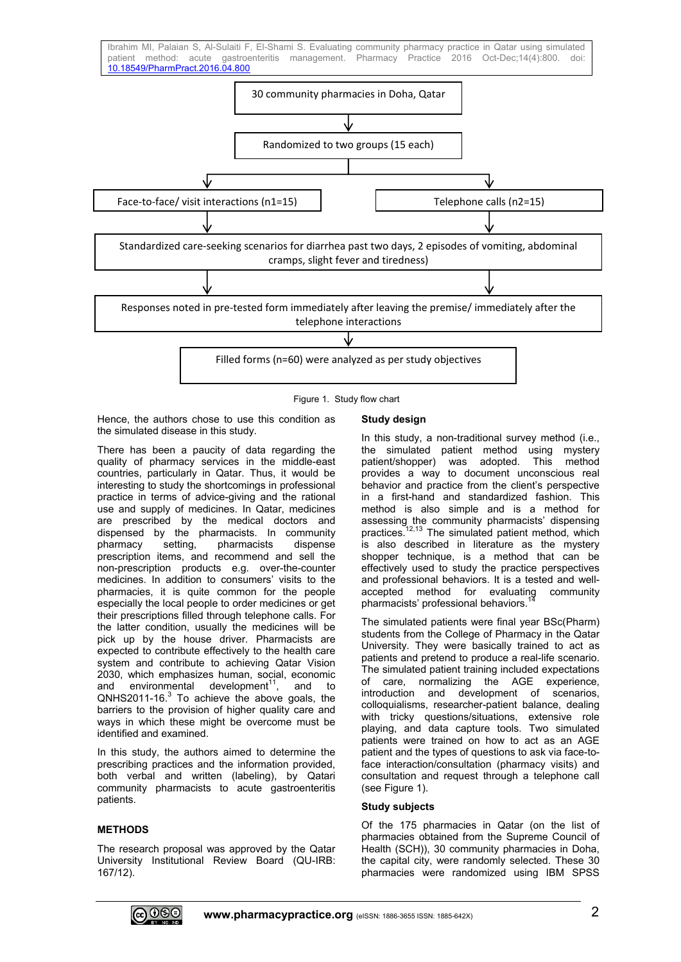

Figure 1. Study flow chart

Hence, the authors chose to use this condition as the simulated disease in this study.

There has been a paucity of data regarding the quality of pharmacy services in the middle-east countries, particularly in Qatar. Thus, it would be interesting to study the shortcomings in professional practice in terms of advice-giving and the rational use and supply of medicines. In Qatar, medicines are prescribed by the medical doctors and dispensed by the pharmacists. In community pharmacy setting, pharmacists dispense prescription items, and recommend and sell the non-prescription products e.g. over-the-counter medicines. In addition to consumers' visits to the pharmacies, it is quite common for the people especially the local people to order medicines or get their prescriptions filled through telephone calls. For the latter condition, usually the medicines will be pick up by the house driver. Pharmacists are expected to contribute effectively to the health care system and contribute to achieving Qatar Vision 2030, which emphasizes human, social, economic and environmental development $11$ , and to  $QNHS2011-16<sup>3</sup>$  To achieve the above goals, the barriers to the provision of higher quality care and ways in which these might be overcome must be identified and examined.

In this study, the authors aimed to determine the prescribing practices and the information provided, both verbal and written (labeling), by Qatari community pharmacists to acute gastroenteritis patients.

## **METHODS**

The research proposal was approved by the Qatar University Institutional Review Board (QU-IRB: 167/12).

## **Study design**

In this study, a non-traditional survey method (i.e., the simulated patient method using mystery patient/shopper) was adopted. This method provides a way to document unconscious real behavior and practice from the client's perspective in a first-hand and standardized fashion. This method is also simple and is a method for assessing the community pharmacists' dispensing practices.<sup>12,13</sup> The simulated patient method, which is also described in literature as the mystery shopper technique, is a method that can be effectively used to study the practice perspectives and professional behaviors. It is a tested and wellaccepted method for evaluating community pharmacists' professional behaviors.

The simulated patients were final year BSc(Pharm) students from the College of Pharmacy in the Qatar University. They were basically trained to act as patients and pretend to produce a real-life scenario. The simulated patient training included expectations of care, normalizing the AGE experience, introduction and development of scenarios, colloquialisms, researcher-patient balance, dealing with tricky questions/situations, extensive role playing, and data capture tools. Two simulated patients were trained on how to act as an AGE patient and the types of questions to ask via face-toface interaction/consultation (pharmacy visits) and consultation and request through a telephone call (see Figure 1).

## **Study subjects**

Of the 175 pharmacies in Qatar (on the list of pharmacies obtained from the Supreme Council of Health (SCH)), 30 community pharmacies in Doha, the capital city, were randomly selected. These 30 pharmacies were randomized using IBM SPSS

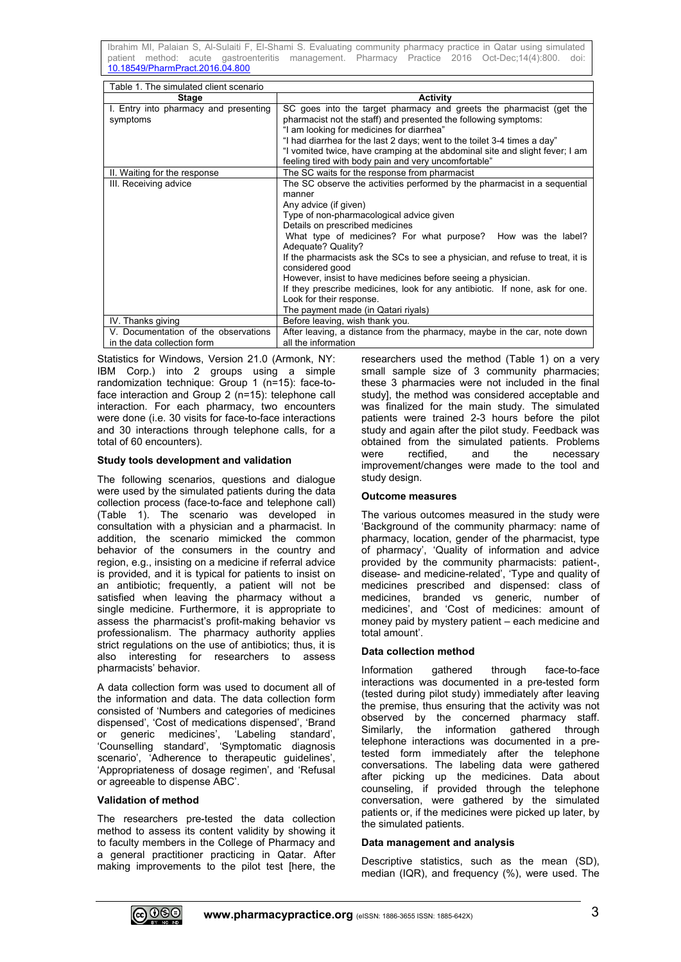Ibrahim MI, Palaian S, Al-Sulaiti F, El-Shami S. Evaluating community pharmacy practice in Qatar using simulated patient method: acute gastroenteritis management. Pharmacy Practice 2016 Oct-Dec;14(4):800. [10.18549/PharmPract.2016.04.800](https://doi.org/10.18549/PharmPract.2016.04.800)

| Table 1. The simulated client scenario |                                                                                    |  |  |
|----------------------------------------|------------------------------------------------------------------------------------|--|--|
| Stage                                  | <b>Activity</b>                                                                    |  |  |
| I. Entry into pharmacy and presenting  | SC goes into the target pharmacy and greets the pharmacist (get the                |  |  |
| symptoms                               | pharmacist not the staff) and presented the following symptoms:                    |  |  |
|                                        | "I am looking for medicines for diarrhea"                                          |  |  |
|                                        | "I had diarrhea for the last 2 days; went to the toilet 3-4 times a day"           |  |  |
|                                        | "I vomited twice, have cramping at the abdominal site and slight fever; I am       |  |  |
|                                        | feeling tired with body pain and very uncomfortable"                               |  |  |
| II. Waiting for the response           | The SC waits for the response from pharmacist                                      |  |  |
| III. Receiving advice                  | The SC observe the activities performed by the pharmacist in a sequential          |  |  |
|                                        | manner                                                                             |  |  |
|                                        | Any advice (if given)                                                              |  |  |
|                                        | Type of non-pharmacological advice given                                           |  |  |
|                                        | Details on prescribed medicines                                                    |  |  |
|                                        | What type of medicines? For what purpose? How was the label?<br>Adequate? Quality? |  |  |
|                                        | If the pharmacists ask the SCs to see a physician, and refuse to treat, it is      |  |  |
|                                        | considered good                                                                    |  |  |
|                                        | However, insist to have medicines before seeing a physician.                       |  |  |
|                                        | If they prescribe medicines, look for any antibiotic. If none, ask for one.        |  |  |
|                                        | Look for their response.                                                           |  |  |
|                                        | The payment made (in Qatari riyals)                                                |  |  |
| IV. Thanks giving                      | Before leaving, wish thank you.                                                    |  |  |
| V. Documentation of the observations   | After leaving, a distance from the pharmacy, maybe in the car, note down           |  |  |
| in the data collection form            | all the information                                                                |  |  |

Statistics for Windows, Version 21.0 (Armonk, NY: IBM Corp.) into 2 groups using a simple randomization technique: Group 1 (n=15): face-toface interaction and Group 2 (n=15): telephone call interaction. For each pharmacy, two encounters were done (i.e. 30 visits for face-to-face interactions and 30 interactions through telephone calls, for a total of 60 encounters).

## **Study tools development and validation**

The following scenarios, questions and dialogue were used by the simulated patients during the data collection process (face-to-face and telephone call) (Table 1). The scenario was developed in consultation with a physician and a pharmacist. In addition, the scenario mimicked the common behavior of the consumers in the country and region, e.g., insisting on a medicine if referral advice is provided, and it is typical for patients to insist on an antibiotic; frequently, a patient will not be satisfied when leaving the pharmacy without a single medicine. Furthermore, it is appropriate to assess the pharmacist's profit-making behavior vs professionalism. The pharmacy authority applies strict regulations on the use of antibiotics; thus, it is also interesting for researchers to assess pharmacists' behavior.

A data collection form was used to document all of the information and data. The data collection form consisted of 'Numbers and categories of medicines dispensed', 'Cost of medications dispensed', 'Brand or generic medicines', 'Labeling standard', 'Counselling standard', 'Symptomatic diagnosis scenario', 'Adherence to therapeutic guidelines', 'Appropriateness of dosage regimen', and 'Refusal or agreeable to dispense ABC'.

## **Validation of method**

The researchers pre-tested the data collection method to assess its content validity by showing it to faculty members in the College of Pharmacy and a general practitioner practicing in Qatar. After making improvements to the pilot test [here, the

researchers used the method (Table 1) on a very small sample size of 3 community pharmacies; these 3 pharmacies were not included in the final study], the method was considered acceptable and was finalized for the main study. The simulated patients were trained 2-3 hours before the pilot study and again after the pilot study. Feedback was obtained from the simulated patients. Problems were rectified, and the necessary improvement/changes were made to the tool and study design.

## **Outcome measures**

The various outcomes measured in the study were 'Background of the community pharmacy: name of pharmacy, location, gender of the pharmacist, type of pharmacy', 'Quality of information and advice provided by the community pharmacists: patient-, disease- and medicine-related', 'Type and quality of medicines prescribed and dispensed: class of medicines, branded vs generic, number of medicines', and 'Cost of medicines: amount of money paid by mystery patient – each medicine and total amount'.

## **Data collection method**

Information gathered through face-to-face interactions was documented in a pre-tested form (tested during pilot study) immediately after leaving the premise, thus ensuring that the activity was not observed by the concerned pharmacy staff. Similarly, the information gathered through telephone interactions was documented in a pretested form immediately after the telephone conversations. The labeling data were gathered after picking up the medicines. Data about counseling, if provided through the telephone conversation, were gathered by the simulated patients or, if the medicines were picked up later, by the simulated patients.

## **Data management and analysis**

Descriptive statistics, such as the mean (SD), median (IQR), and frequency (%), were used. The

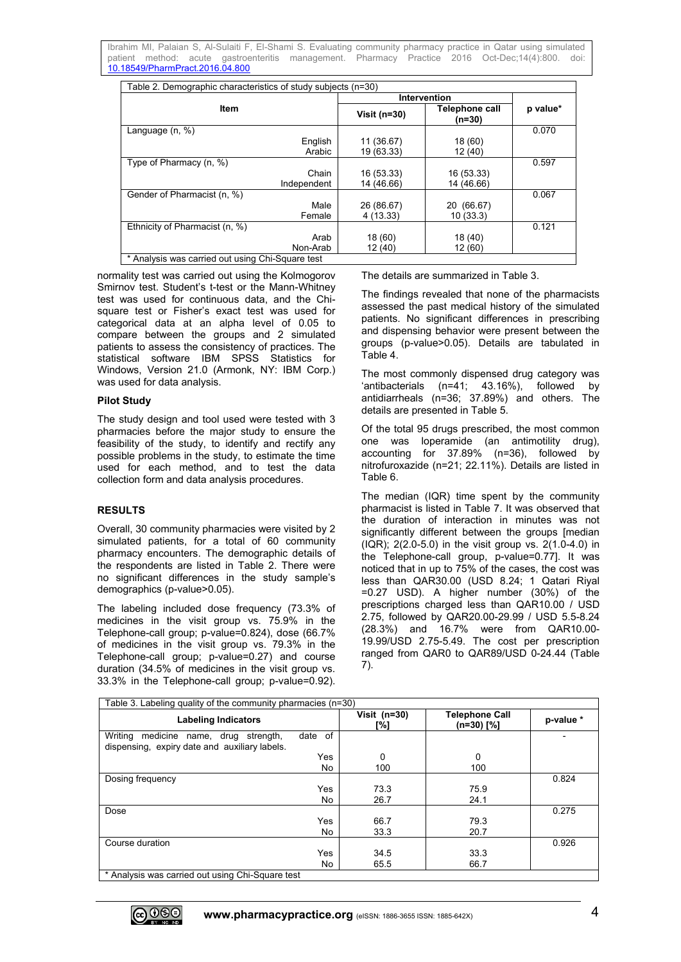Ibrahim MI, Palaian S, Al-Sulaiti F, El-Shami S. Evaluating community pharmacy practice in Qatar using simulated patient method: acute gastroenteritis management. Pharmacy Practice 2016 Oct-Dec;14(4):800. [10.18549/PharmPract.2016.04.800](https://doi.org/10.18549/PharmPract.2016.04.800)

| Table 2. Demographic characteristics of study subjects (n=30) |                          |                            |          |
|---------------------------------------------------------------|--------------------------|----------------------------|----------|
|                                                               | <b>Intervention</b>      |                            |          |
| Item                                                          | Visit ( $n=30$ )         | Telephone call<br>$(n=30)$ | p value* |
| Language (n, %)                                               |                          |                            | 0.070    |
| English<br>Arabic                                             | 11 (36.67)<br>19 (63.33) | 18 (60)<br>12 (40)         |          |
| Type of Pharmacy (n, %)                                       |                          |                            | 0.597    |
| Chain                                                         | 16 (53.33)               | 16 (53.33)                 |          |
| Independent                                                   | 14 (46.66)               | 14 (46.66)                 |          |
| Gender of Pharmacist (n, %)                                   |                          |                            | 0.067    |
| Male                                                          | 26 (86.67)               | 20 (66.67)                 |          |
| Female                                                        | 4(13.33)                 | 10(33.3)                   |          |
| Ethnicity of Pharmacist (n, %)                                |                          |                            | 0.121    |
| Arab                                                          | 18(60)                   | 18 (40)                    |          |
| Non-Arab                                                      | 12(40)                   | 12 (60)                    |          |
| Analysis was carried out using Chi-Square test                |                          |                            |          |

normality test was carried out using the Kolmogorov Smirnov test. Student's t-test or the Mann-Whitney test was used for continuous data, and the Chisquare test or Fisher's exact test was used for categorical data at an alpha level of 0.05 to compare between the groups and 2 simulated patients to assess the consistency of practices. The statistical software IBM SPSS Statistics for Windows, Version 21.0 (Armonk, NY: IBM Corp.) was used for data analysis.

## **Pilot Study**

The study design and tool used were tested with 3 pharmacies before the major study to ensure the feasibility of the study, to identify and rectify any possible problems in the study, to estimate the time used for each method, and to test the data collection form and data analysis procedures.

## **RESULTS**

Overall, 30 community pharmacies were visited by 2 simulated patients, for a total of 60 community pharmacy encounters. The demographic details of the respondents are listed in Table 2. There were no significant differences in the study sample's demographics (p-value>0.05).

The labeling included dose frequency (73.3% of medicines in the visit group vs. 75.9% in the Telephone-call group; p-value=0.824), dose (66.7% of medicines in the visit group vs. 79.3% in the Telephone-call group; p-value=0.27) and course duration (34.5% of medicines in the visit group vs. 33.3% in the Telephone-call group; p-value=0.92). The details are summarized in Table 3.

The findings revealed that none of the pharmacists assessed the past medical history of the simulated patients. No significant differences in prescribing and dispensing behavior were present between the groups (p-value>0.05). Details are tabulated in Table 4.

The most commonly dispensed drug category was 'antibacterials (n=41; 43.16%), followed by antidiarrheals (n=36; 37.89%) and others. The details are presented in Table 5.

Of the total 95 drugs prescribed, the most common one was loperamide (an antimotility drug), accounting for 37.89% (n=36), followed by nitrofuroxazide (n=21; 22.11%). Details are listed in Table 6.

The median (IQR) time spent by the community pharmacist is listed in Table 7. It was observed that the duration of interaction in minutes was not significantly different between the groups [median (IQR); 2(2.0-5.0) in the visit group vs. 2(1.0-4.0) in the Telephone-call group, p-value=0.77]. It was noticed that in up to 75% of the cases, the cost was less than QAR30.00 (USD 8.24; 1 Qatari Riyal =0.27 USD). A higher number (30%) of the prescriptions charged less than QAR10.00 / USD 2.75, followed by QAR20.00-29.99 / USD 5.5-8.24 (28.3%) and 16.7% were from QAR10.00- 19.99/USD 2.75-5.49. The cost per prescription ranged from QAR0 to QAR89/USD 0-24.44 (Table 7).

| Table 3. Labeling quality of the community pharmacies (n=30)                              |         |                     |                                     |           |
|-------------------------------------------------------------------------------------------|---------|---------------------|-------------------------------------|-----------|
| <b>Labeling Indicators</b>                                                                |         | Visit (n=30)<br>[%] | <b>Telephone Call</b><br>(n=30) [%] | p-value * |
| medicine name, drug strength,<br>Writing<br>dispensing, expiry date and auxiliary labels. | date of |                     |                                     |           |
|                                                                                           | Yes     | 0                   | 0                                   |           |
|                                                                                           | No      | 100                 | 100                                 |           |
| Dosing frequency                                                                          |         |                     |                                     | 0.824     |
|                                                                                           | Yes     | 73.3                | 75.9                                |           |
|                                                                                           | No      | 26.7                | 24.1                                |           |
| Dose                                                                                      |         |                     |                                     | 0.275     |
|                                                                                           | Yes     | 66.7                | 79.3                                |           |
|                                                                                           | No      | 33.3                | 20.7                                |           |
| Course duration                                                                           |         |                     |                                     | 0.926     |
|                                                                                           | Yes     | 34.5                | 33.3                                |           |
|                                                                                           | No      | 65.5                | 66.7                                |           |
| * Analysis was carried out using Chi-Square test                                          |         |                     |                                     |           |

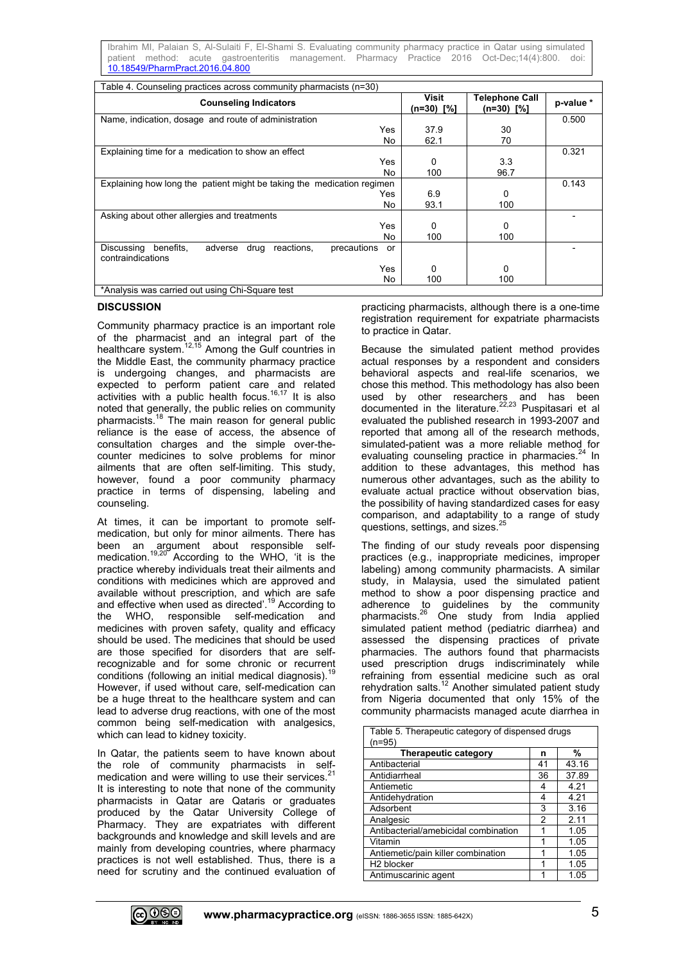Ibrahim MI, Palaian S, Al-Sulaiti F, El-Shami S. Evaluating community pharmacy practice in Qatar using simulated patient method: acute gastroenteritis management. Pharmacy Practice 2016 Oct-Dec;14(4):800. [10.18549/PharmPract.2016.04.800](https://doi.org/10.18549/PharmPract.2016.04.800)

| Table 4. Counseling practices across community pharmacists (n=30)                                  |                       |                                       |           |
|----------------------------------------------------------------------------------------------------|-----------------------|---------------------------------------|-----------|
| <b>Counseling Indicators</b>                                                                       | Visit<br>$(n=30)$ [%] | <b>Telephone Call</b><br>$(n=30)$ [%] | p-value * |
| Name, indication, dosage and route of administration                                               |                       |                                       | 0.500     |
| Yes                                                                                                | 37.9                  | 30                                    |           |
| No.                                                                                                | 62.1                  | 70                                    |           |
| Explaining time for a medication to show an effect                                                 |                       |                                       | 0.321     |
| Yes                                                                                                | $\Omega$              | 3.3                                   |           |
| No                                                                                                 | 100                   | 96.7                                  |           |
| Explaining how long the patient might be taking the medication regimen                             |                       |                                       | 0.143     |
| Yes                                                                                                | 6.9                   | 0                                     |           |
| No                                                                                                 | 93.1                  | 100                                   |           |
| Asking about other allergies and treatments                                                        |                       |                                       |           |
| Yes                                                                                                | 0                     | 0                                     |           |
| No.                                                                                                | 100                   | 100                                   |           |
| Discussing<br>benefits.<br>drug<br>adverse<br>reactions.<br>precautions<br>or<br>contraindications |                       |                                       |           |
| Yes                                                                                                | 0                     | 0                                     |           |
| No                                                                                                 | 100                   | 100                                   |           |
| *Analysis was carried out using Chi-Square test                                                    |                       |                                       |           |

## **DISCUSSION**

Community pharmacy practice is an important role of the pharmacist and an integral part of the healthcare system.12,15 Among the Gulf countries in the Middle East, the community pharmacy practice is undergoing changes, and pharmacists are expected to perform patient care and related activities with a public health focus.<sup>16,17</sup> It is also noted that generally, the public relies on community pharmacists.<sup>18</sup> The main reason for general public reliance is the ease of access, the absence of consultation charges and the simple over-thecounter medicines to solve problems for minor ailments that are often self-limiting. This study, however, found a poor community pharmacy practice in terms of dispensing, labeling and counseling.

At times, it can be important to promote selfmedication, but only for minor ailments. There has been an argument about responsible selfmedication.<sup>19,20</sup> According to the WHO, 'it is the practice whereby individuals treat their ailments and conditions with medicines which are approved and available without prescription, and which are safe and effective when used as directed'.<sup>19</sup> According to the WHO, responsible self-medication and medicines with proven safety, quality and efficacy should be used. The medicines that should be used are those specified for disorders that are selfrecognizable and for some chronic or recurrent conditions (following an initial medical diagnosis). $1$ However, if used without care, self-medication can be a huge threat to the healthcare system and can lead to adverse drug reactions, with one of the most common being self-medication with analgesics, which can lead to kidney toxicity.

In Qatar, the patients seem to have known about the role of community pharmacists in selfmedication and were willing to use their services. $2$ It is interesting to note that none of the community pharmacists in Qatar are Qataris or graduates produced by the Qatar University College of Pharmacy. They are expatriates with different backgrounds and knowledge and skill levels and are mainly from developing countries, where pharmacy practices is not well established. Thus, there is a need for scrutiny and the continued evaluation of practicing pharmacists, although there is a one-time registration requirement for expatriate pharmacists to practice in Qatar.

Because the simulated patient method provides actual responses by a respondent and considers behavioral aspects and real-life scenarios, we chose this method. This methodology has also been used by other researchers and has been documented in the literature.<sup>22,23</sup> Puspitasari et al evaluated the published research in 1993-2007 and reported that among all of the research methods, simulated-patient was a more reliable method for evaluating counseling practice in pharmacies.<sup>24</sup> In addition to these advantages, this method has numerous other advantages, such as the ability to evaluate actual practice without observation bias, the possibility of having standardized cases for easy comparison, and adaptability to a range of study questions, settings, and sizes. I,

The finding of our study reveals poor dispensing practices (e.g., inappropriate medicines, improper labeling) among community pharmacists. A similar study, in Malaysia, used the simulated patient method to show a poor dispensing practice and adherence to guidelines by the community pharmacists.<sup>26</sup> One study from India applied simulated patient method (pediatric diarrhea) and assessed the dispensing practices of private pharmacies. The authors found that pharmacists used prescription drugs indiscriminately while refraining from essential medicine such as oral rehydration salts.<sup>12</sup> Another simulated patient study from Nigeria documented that only 15% of the community pharmacists managed acute diarrhea in

| Table 5. Therapeutic category of dispensed drugs<br>(n=95) |    |       |
|------------------------------------------------------------|----|-------|
| <b>Therapeutic category</b>                                | n  | %     |
| Antibacterial                                              | 41 | 43.16 |
| Antidiarrheal                                              | 36 | 37.89 |
| Antiemetic                                                 | 4  | 4.21  |
| Antidehydration                                            | 4  | 4.21  |
| Adsorbent                                                  | 3  | 3.16  |
| Analgesic                                                  | 2  | 2.11  |
| Antibacterial/amebicidal combination                       |    | 1.05  |
| Vitamin                                                    |    | 1.05  |
| Antiemetic/pain killer combination                         |    | 1.05  |
| H <sub>2</sub> blocker                                     | 1  | 1.05  |
| Antimuscarinic agent                                       |    | 1.05  |

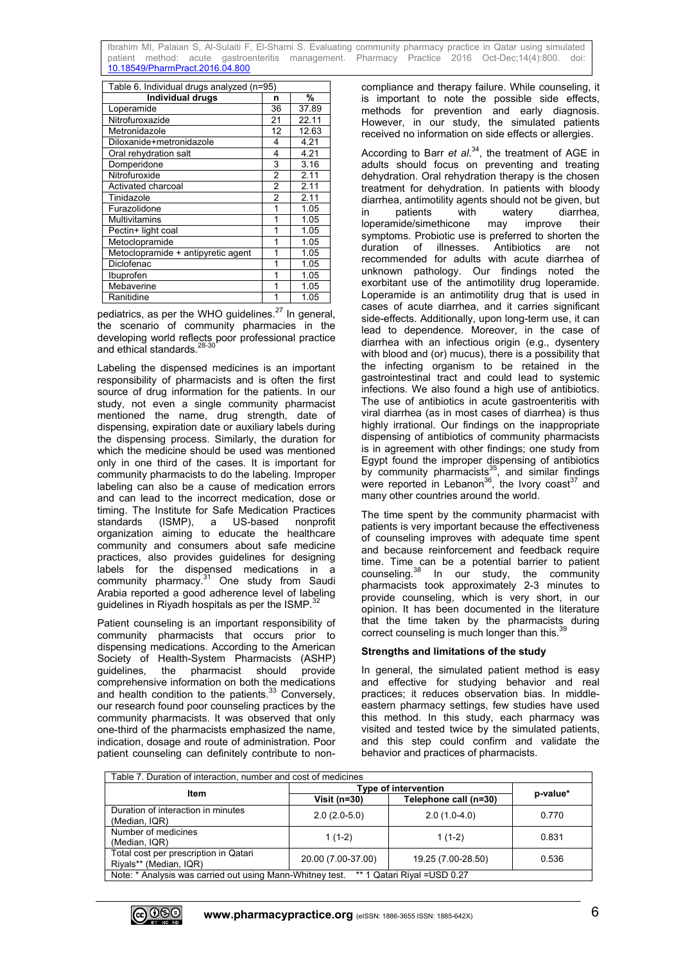Ibrahim MI, Palaian S, Al-Sulaiti F, El-Shami S. Evaluating community pharmacy practice in Qatar using simulated patient method: acute gastroenteritis management. [10.18549/PharmPract.2016.04.800](https://doi.org/10.18549/PharmPract.2016.04.800)

| Table 6. Individual drugs analyzed (n=95) |                |       |  |
|-------------------------------------------|----------------|-------|--|
| <b>Individual drugs</b>                   | n              | %     |  |
| Loperamide                                | 36             | 37.89 |  |
| Nitrofuroxazide                           | 21             | 22.11 |  |
| Metronidazole                             | 12             | 12.63 |  |
| Diloxanide+metronidazole                  | 4              | 4.21  |  |
| Oral rehydration salt                     | 4              | 4.21  |  |
| Domperidone                               | 3              | 3.16  |  |
| Nitrofuroxide                             | 2              | 2.11  |  |
| Activated charcoal                        | $\overline{2}$ | 2.11  |  |
| Tinidazole                                | $\overline{2}$ | 2.11  |  |
| Furazolidone                              | 1              | 1.05  |  |
| <b>Multivitamins</b>                      | 1              | 1.05  |  |
| Pectin+ light coal                        | 1              | 1.05  |  |
| Metoclopramide                            | 1              | 1.05  |  |
| Metoclopramide + antipyretic agent        | 1              | 1.05  |  |
| Diclofenac                                | 1              | 1.05  |  |
| Ibuprofen                                 | 1              | 1.05  |  |
| Mebaverine                                | 1              | 1.05  |  |
| Ranitidine                                | 1              | 1.05  |  |

pediatrics, as per the WHO guidelines. $^{27}$  In general, the scenario of community pharmacies in the developing world reflects poor professional practice and ethical standards.<sup>28-30</sup>

Labeling the dispensed medicines is an important responsibility of pharmacists and is often the first source of drug information for the patients. In our study, not even a single community pharmacist mentioned the name, drug strength, date of dispensing, expiration date or auxiliary labels during the dispensing process. Similarly, the duration for which the medicine should be used was mentioned only in one third of the cases. It is important for community pharmacists to do the labeling. Improper labeling can also be a cause of medication errors and can lead to the incorrect medication, dose or timing. The Institute for Safe Medication Practices standards (ISMP), a US-based nonprofit organization aiming to educate the healthcare community and consumers about safe medicine practices, also provides guidelines for designing labels for the dispensed medications in a community pharmacy.<sup>31</sup> One study from Saudi Arabia reported a good adherence level of labeling guidelines in Riyadh hospitals as per the  $ISMP.<sup>32</sup>$ 

Patient counseling is an important responsibility of community pharmacists that occurs prior to dispensing medications. According to the American Society of Health-System Pharmacists (ASHP)<br>
quidelines. the pharmacist should provide the pharmacist should provide comprehensive information on both the medications and health condition to the patients. $33$  Conversely, our research found poor counseling practices by the community pharmacists. It was observed that only one-third of the pharmacists emphasized the name, indication, dosage and route of administration. Poor patient counseling can definitely contribute to noncompliance and therapy failure. While counseling, it is important to note the possible side effects, methods for prevention and early diagnosis. However, in our study, the simulated patients received no information on side effects or allergies.

According to Barr *et al*. <sup>34</sup>, the treatment of AGE in adults should focus on preventing and treating dehydration. Oral rehydration therapy is the chosen treatment for dehydration. In patients with bloody diarrhea, antimotility agents should not be given, but<br>in patients with watery diarrhea. in patients with watery diarrhea, loperamide/simethicone may improve their symptoms. Probiotic use is preferred to shorten the duration of illnesses. Antibiotics are not recommended for adults with acute diarrhea of unknown pathology. Our findings noted the exorbitant use of the antimotility drug loperamide. Loperamide is an antimotility drug that is used in cases of acute diarrhea, and it carries significant side-effects. Additionally, upon long-term use, it can lead to dependence. Moreover, in the case of diarrhea with an infectious origin (e.g., dysentery with blood and (or) mucus), there is a possibility that the infecting organism to be retained in the gastrointestinal tract and could lead to systemic infections. We also found a high use of antibiotics. The use of antibiotics in acute gastroenteritis with viral diarrhea (as in most cases of diarrhea) is thus highly irrational. Our findings on the inappropriate dispensing of antibiotics of community pharmacists is in agreement with other findings; one study from Egypt found the improper dispensing of antibiotics by community pharmacists<sup>35</sup>, and similar findings were reported in Lebanon<sup>36</sup>, the Ivory coast<sup>37</sup> and many other countries around the world.

The time spent by the community pharmacist with patients is very important because the effectiveness of counseling improves with adequate time spent and because reinforcement and feedback require time. Time can be a potential barrier to patient  $\frac{38}{10}$  In our study, the community pharmacists took approximately 2-3 minutes to provide counseling, which is very short, in our opinion. It has been documented in the literature that the time taken by the pharmacists during correct counseling is much longer than this.<sup>39</sup>

## **Strengths and limitations of the study**

In general, the simulated patient method is easy and effective for studying behavior and real practices; it reduces observation bias. In middleeastern pharmacy settings, few studies have used this method. In this study, each pharmacy was visited and tested twice by the simulated patients, and this step could confirm and validate the behavior and practices of pharmacists.

| Table 7. Duration of interaction, number and cost of medicines                            |                             |                       |          |
|-------------------------------------------------------------------------------------------|-----------------------------|-----------------------|----------|
| Item                                                                                      | <b>Type of intervention</b> |                       |          |
|                                                                                           | Visit ( $n=30$ )            | Telephone call (n=30) | p-value* |
| Duration of interaction in minutes<br>(Median, IQR)                                       | $2.0(2.0-5.0)$              | $2.0(1.0-4.0)$        | 0.770    |
| Number of medicines<br>(Median, IQR)                                                      | $1(1-2)$                    | $1(1-2)$              | 0.831    |
| Total cost per prescription in Qatari<br>Riyals** (Median, IQR)                           | 20.00 (7.00-37.00)          | 19.25 (7.00-28.50)    | 0.536    |
| Note: * Analysis was carried out using Mann-Whitney test.<br>** 1 Qatari Rival = USD 0.27 |                             |                       |          |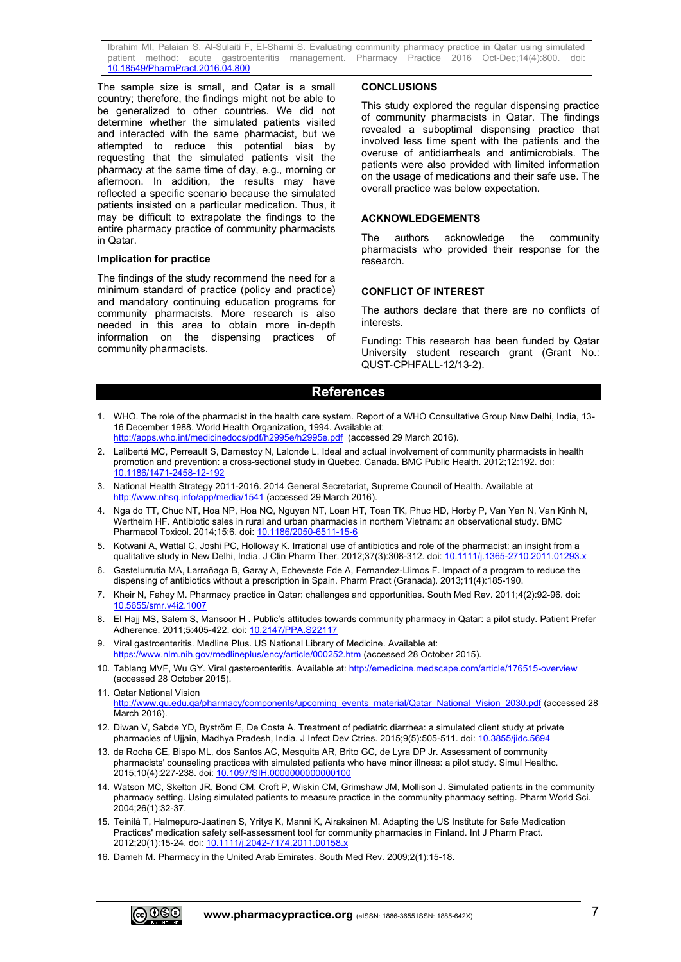Ibrahim MI, Palaian S, Al-Sulaiti F, El-Shami S. Evaluating community pharmacy practice in Qatar using simulated patient method: acute gastroenteritis management. Pharmacy Practice 2016 Oct-Dec;14(4):800. doi: patient method: acute gastroenteritis management. [10.18549/PharmPract.2016.04.800](https://doi.org/10.18549/PharmPract.2016.04.800)

The sample size is small, and Qatar is a small country; therefore, the findings might not be able to be generalized to other countries. We did not determine whether the simulated patients visited and interacted with the same pharmacist, but we attempted to reduce this potential bias by requesting that the simulated patients visit the pharmacy at the same time of day, e.g., morning or afternoon. In addition, the results may have reflected a specific scenario because the simulated patients insisted on a particular medication. Thus, it may be difficult to extrapolate the findings to the entire pharmacy practice of community pharmacists in Qatar.

#### **Implication for practice**

The findings of the study recommend the need for a minimum standard of practice (policy and practice) and mandatory continuing education programs for community pharmacists. More research is also needed in this area to obtain more in-depth information on the dispensing practices of community pharmacists.

## **CONCLUSIONS**

This study explored the regular dispensing practice of community pharmacists in Qatar. The findings revealed a suboptimal dispensing practice that involved less time spent with the patients and the overuse of antidiarrheals and antimicrobials. The patients were also provided with limited information on the usage of medications and their safe use. The overall practice was below expectation.

## **ACKNOWLEDGEMENTS**

The authors acknowledge the community pharmacists who provided their response for the research.

## **CONFLICT OF INTEREST**

The authors declare that there are no conflicts of interests.

Funding: This research has been funded by Qatar University student research grant (Grant No.: QUST‐CPHFALL‐12/13‐2).

## **References**

- 1. WHO. The role of the pharmacist in the health care system. Report of a WHO Consultative Group New Delhi, India, 13- 16 December 1988. World Health Organization, 1994. Available at:
- <http://apps.who.int/medicinedocs/pdf/h2995e/h2995e.pdf>(accessed 29 March 2016).
- 2. Laliberté MC, Perreault S, Damestoy N, Lalonde L. Ideal and actual involvement of community pharmacists in health promotion and prevention: a cross-sectional study in Quebec, Canada. BMC Public Health. 2012;12:192. doi: [10.1186/1471-2458-12-192](https://doi.org/10.1186/1471-2458-12-192)
- 3. National Health Strategy 2011-2016. 2014 General Secretariat, Supreme Council of Health. Available at <http://www.nhsq.info/app/media/1541> (accessed 29 March 2016).
- 4. Nga do TT, Chuc NT, Hoa NP, Hoa NQ, Nguyen NT, Loan HT, Toan TK, Phuc HD, Horby P, Van Yen N, Van Kinh N, Wertheim HF. Antibiotic sales in rural and urban pharmacies in northern Vietnam: an observational study. BMC Pharmacol Toxicol. 2014;15:6. doi[: 10.1186/2050-6511-15-6](https://doi.org/10.1186/2050-6511-15-6)
- 5. Kotwani A, Wattal C, Joshi PC, Holloway K. Irrational use of antibiotics and role of the pharmacist: an insight from a qualitative study in New Delhi, India. J Clin Pharm Ther. 2012;37(3):308-312. doi: [10.1111/j.1365-2710.2011.01293.x](https://doi.org/10.1111/j.1365-2710.2011.01293.x)
- 6. Gastelurrutia MA, Larrañaga B, Garay A, Echeveste Fde A, Fernandez-Llimos F. Impact of a program to reduce the dispensing of antibiotics without a prescription in Spain. Pharm Pract (Granada). 2013;11(4):185-190.
- 7. Kheir N, Fahey M. Pharmacy practice in Qatar: challenges and opportunities. South Med Rev. 2011;4(2):92-96. doi: [10.5655/smr.v4i2.1007](https://doi.org/10.5655/smr.v4i2.1007)
- 8. El Hajj MS, Salem S, Mansoor H . Public's attitudes towards community pharmacy in Qatar: a pilot study. Patient Prefer Adherence. 2011;5:405-422. doi: [10.2147/PPA.S22117](https://doi.org/10.2147/PPA.S22117)
- 9. Viral gastroenteritis. Medline Plus. US National Library of Medicine. Available at: <https://www.nlm.nih.gov/medlineplus/ency/article/000252.htm> (accessed 28 October 2015).
- 10. Tablang MVF, Wu GY. Viral gasteroenteritis. Available at:<http://emedicine.medscape.com/article/176515-overview> (accessed 28 October 2015).
- 11. Qatar National Vision [http://www.qu.edu.qa/pharmacy/components/upcoming\\_events\\_material/Qatar\\_National\\_Vision\\_2030.pdf](http://www.qu.edu.qa/pharmacy/components/upcoming_events_material/Qatar_National_Vision_2030.pdf) (accessed 28 March 2016).
- 12. Diwan V, Sabde YD, Byström E, De Costa A. Treatment of pediatric diarrhea: a simulated client study at private pharmacies of Ujjain, Madhya Pradesh, India. J Infect Dev Ctries. 2015;9(5):505-511. doi: [10.3855/jidc.5694](https://doi.org/10.3855/jidc.5694)
- 13. da Rocha CE, Bispo ML, dos Santos AC, Mesquita AR, Brito GC, de Lyra DP Jr. Assessment of community pharmacists' counseling practices with simulated patients who have minor illness: a pilot study. Simul Healthc. 2015;10(4):227-238. doi: [10.1097/SIH.0000000000000100](https://doi.org/10.1097/SIH.0000000000000100)
- 14. Watson MC, Skelton JR, Bond CM, Croft P, Wiskin CM, Grimshaw JM, Mollison J. Simulated patients in the community pharmacy setting. Using simulated patients to measure practice in the community pharmacy setting. Pharm World Sci. 2004;26(1):32-37.
- 15. Teinilä T, Halmepuro-Jaatinen S, Yritys K, Manni K, Airaksinen M. Adapting the US Institute for Safe Medication Practices' medication safety self-assessment tool for community pharmacies in Finland. Int J Pharm Pract. 2012;20(1):15-24. doi[: 10.1111/j.2042-7174.2011.00158.x](https://doi.org/10.1111/j.2042-7174.2011.00158.x)
- 16. Dameh M. Pharmacy in the United Arab Emirates. South Med Rev. 2009;2(1):15-18.